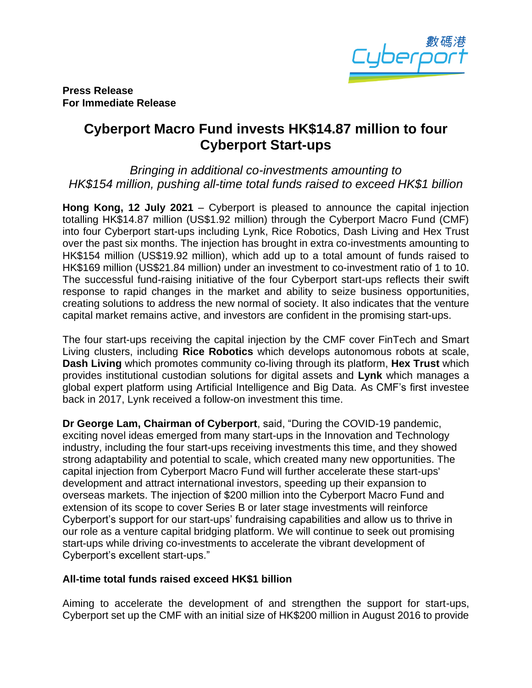

**Press Release For Immediate Release**

## **Cyberport Macro Fund invests HK\$14.87 million to four Cyberport Start-ups**

*Bringing in additional co-investments amounting to HK\$154 million, pushing all-time total funds raised to exceed HK\$1 billion* 

**Hong Kong, 12 July 2021** – Cyberport is pleased to announce the capital injection totalling HK\$14.87 million (US\$1.92 million) through the Cyberport Macro Fund (CMF) into four Cyberport start-ups including Lynk, Rice Robotics, Dash Living and Hex Trust over the past six months. The injection has brought in extra co-investments amounting to HK\$154 million (US\$19.92 million), which add up to a total amount of funds raised to HK\$169 million (US\$21.84 million) under an investment to co-investment ratio of 1 to 10. The successful fund-raising initiative of the four Cyberport start-ups reflects their swift response to rapid changes in the market and ability to seize business opportunities, creating solutions to address the new normal of society. It also indicates that the venture capital market remains active, and investors are confident in the promising start-ups.

The four start-ups receiving the capital injection by the CMF cover FinTech and Smart Living clusters, including **Rice Robotics** which develops autonomous robots at scale, **Dash Living** which promotes community co-living through its platform, **Hex Trust** which provides institutional custodian solutions for digital assets and **Lynk** which manages a global expert platform using Artificial Intelligence and Big Data. As CMF's first investee back in 2017, Lynk received a follow-on investment this time.

**Dr George Lam, Chairman of Cyberport**, said, "During the COVID-19 pandemic, exciting novel ideas emerged from many start-ups in the Innovation and Technology industry, including the four start-ups receiving investments this time, and they showed strong adaptability and potential to scale, which created many new opportunities. The capital injection from Cyberport Macro Fund will further accelerate these start-ups' development and attract international investors, speeding up their expansion to overseas markets. The injection of \$200 million into the Cyberport Macro Fund and extension of its scope to cover Series B or later stage investments will reinforce Cyberport's support for our start-ups' fundraising capabilities and allow us to thrive in our role as a venture capital bridging platform. We will continue to seek out promising start-ups while driving co-investments to accelerate the vibrant development of Cyberport's excellent start-ups."

## **All-time total funds raised exceed HK\$1 billion**

Aiming to accelerate the development of and strengthen the support for start-ups, Cyberport set up the CMF with an initial size of HK\$200 million in August 2016 to provide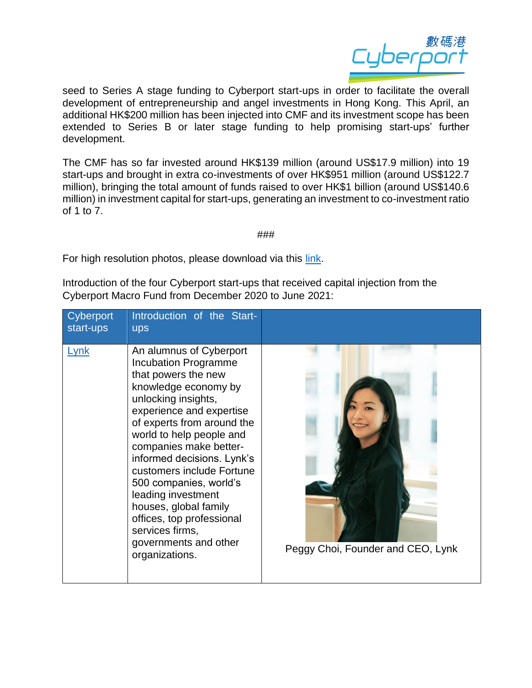

seed to Series A stage funding to Cyberport start-ups in order to facilitate the overall development of entrepreneurship and angel investments in Hong Kong. This April, an additional HK\$200 million has been injected into CMF and its investment scope has been extended to Series B or later stage funding to help promising start-ups' further development.

The CMF has so far invested around HK\$139 million (around US\$17.9 million) into 19 start-ups and brought in extra co-investments of over HK\$951 million (around US\$122.7 million), bringing the total amount of funds raised to over HK\$1 billion (around US\$140.6 million) in investment capital for start-ups, generating an investment to co-investment ratio of 1 to 7.

###

For high resolution photos, please download via this [link.](https://drive.google.com/drive/folders/1npAAYf4KWBMJ_p03mHfuN3oktogzCt8C?usp=sharing)

Introduction of the four Cyberport start-ups that received capital injection from the Cyberport Macro Fund from December 2020 to June 2021:

| Cyberport<br>start-ups | Introduction of the Start-<br><b>ups</b>                                                                                                                                                                                                                                                                                                                                                                                                                                    |                                   |
|------------------------|-----------------------------------------------------------------------------------------------------------------------------------------------------------------------------------------------------------------------------------------------------------------------------------------------------------------------------------------------------------------------------------------------------------------------------------------------------------------------------|-----------------------------------|
| Lynk                   | An alumnus of Cyberport<br><b>Incubation Programme</b><br>that powers the new<br>knowledge economy by<br>unlocking insights,<br>experience and expertise<br>of experts from around the<br>world to help people and<br>companies make better-<br>informed decisions. Lynk's<br>customers include Fortune<br>500 companies, world's<br>leading investment<br>houses, global family<br>offices, top professional<br>services firms,<br>governments and other<br>organizations. | Peggy Choi, Founder and CEO, Lynk |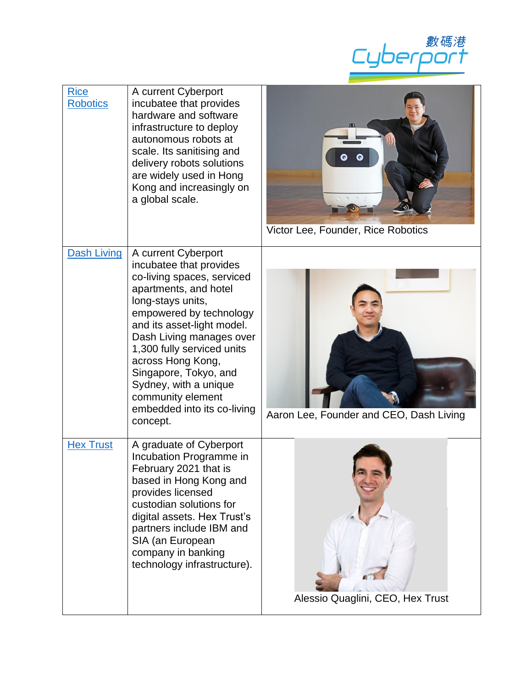

| <b>Rice</b><br><b>Robotics</b> | A current Cyberport<br>incubatee that provides<br>hardware and software<br>infrastructure to deploy<br>autonomous robots at<br>scale. Its sanitising and<br>delivery robots solutions<br>are widely used in Hong<br>Kong and increasingly on<br>a global scale.                                                                                                                      | ◎<br>Q<br>Victor Lee, Founder, Rice Robotics |
|--------------------------------|--------------------------------------------------------------------------------------------------------------------------------------------------------------------------------------------------------------------------------------------------------------------------------------------------------------------------------------------------------------------------------------|----------------------------------------------|
| <b>Dash Living</b>             | A current Cyberport<br>incubatee that provides<br>co-living spaces, serviced<br>apartments, and hotel<br>long-stays units,<br>empowered by technology<br>and its asset-light model.<br>Dash Living manages over<br>1,300 fully serviced units<br>across Hong Kong,<br>Singapore, Tokyo, and<br>Sydney, with a unique<br>community element<br>embedded into its co-living<br>concept. | Aaron Lee, Founder and CEO, Dash Living      |
| <b>Hex Trust</b>               | A graduate of Cyberport<br>Incubation Programme in<br>February 2021 that is<br>based in Hong Kong and<br>provides licensed<br>custodian solutions for<br>digital assets. Hex Trust's<br>partners include IBM and<br>SIA (an European<br>company in banking<br>technology infrastructure).                                                                                            | Alessio Quaglini, CEO, Hex Trust             |